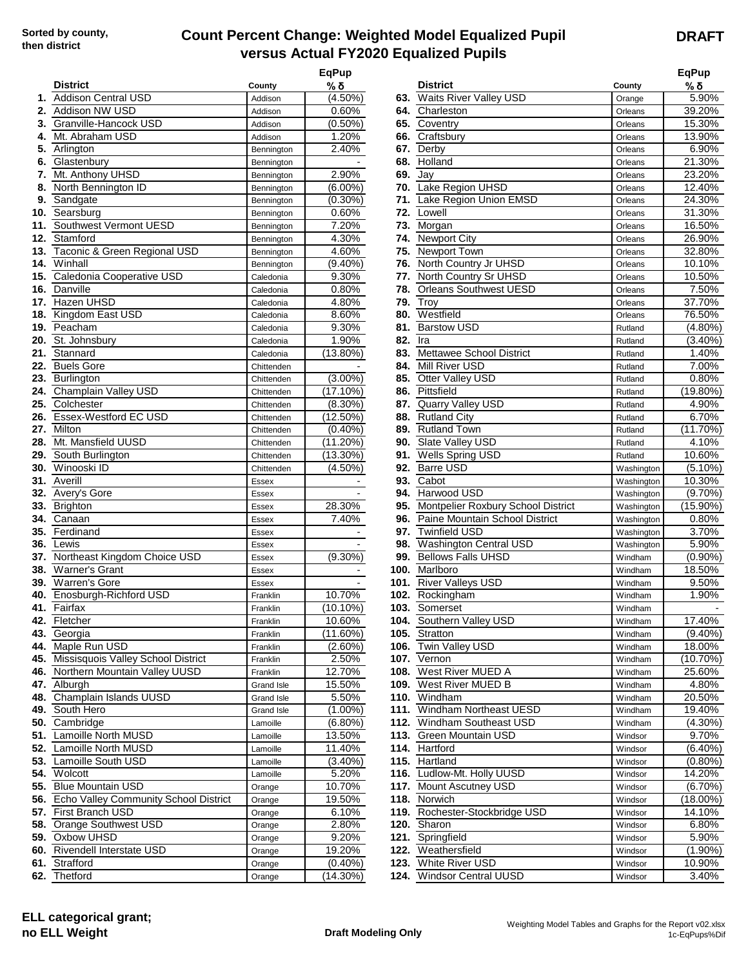## **Count Percent Change: Weighted Model Equalized Pupil versus Actual FY2020 Equalized Pupils**

|     | <b>District</b>                           | County     | <b>EqPup</b><br>%δ |     | <b>District</b>                    | County     | <b>EqPup</b><br>% δ |
|-----|-------------------------------------------|------------|--------------------|-----|------------------------------------|------------|---------------------|
| 1.  | <b>Addison Central USD</b>                | Addison    | $(4.50\%)$         |     | 63. Waits River Valley USD         | Orange     | 5.90%               |
| 2.  | Addison NW USD                            | Addison    | 0.60%              | 64. | Charleston                         | Orleans    | 39.20%              |
|     | 3. Granville-Hancock USD                  | Addison    | $(0.50\%)$         |     | 65. Coventry                       | Orleans    | 15.30%              |
| 4.  | Mt. Abraham USD                           | Addison    | 1.20%              | 66. | Craftsbury                         | Orleans    | 13.90%              |
| 5.  | Arlington                                 | Bennington | 2.40%              | 67. | Derby                              | Orleans    | 6.90%               |
| 6.  | Glastenbury                               | Bennington |                    | 68. | Holland                            | Orleans    | 21.30%              |
| 7.  | Mt. Anthony UHSD                          | Bennington | 2.90%              | 69. | Jay                                | Orleans    | 23.20%              |
| 8.  | North Bennington ID                       | Bennington | $(6.00\%)$         |     | 70. Lake Region UHSD               | Orleans    | 12.40%              |
| 9.  | Sandgate                                  | Bennington | $(0.30\%)$         |     | 71. Lake Region Union EMSD         | Orleans    | 24.30%              |
|     | 10. Searsburg                             | Bennington | 0.60%              | 72. | Lowell                             | Orleans    | 31.30%              |
| 11. | Southwest Vermont UESD                    | Bennington | 7.20%              | 73. | Morgan                             | Orleans    | 16.50%              |
| 12. | Stamford                                  | Bennington | 4.30%              |     | 74. Newport City                   | Orleans    | 26.90%              |
| 13. | Taconic & Green Regional USD              | Bennington | 4.60%              |     | 75. Newport Town                   | Orleans    | 32.80%              |
| 14. | Winhall                                   | Bennington | $(9.40\%)$         |     | 76. North Country Jr UHSD          | Orleans    | 10.10%              |
| 15. | Caledonia Cooperative USD                 | Caledonia  | 9.30%              |     | 77. North Country Sr UHSD          | Orleans    | 10.50%              |
|     | 16. Danville                              | Caledonia  | 0.80%              | 78. | <b>Orleans Southwest UESD</b>      | Orleans    | 7.50%               |
|     | 17. Hazen UHSD                            | Caledonia  | 4.80%              | 79. | Troy                               | Orleans    | 37.70%              |
|     | 18. Kingdom East USD                      | Caledonia  | 8.60%              | 80. | Westfield                          | Orleans    | 76.50%              |
|     | 19. Peacham                               | Caledonia  | 9.30%              | 81. | <b>Barstow USD</b>                 | Rutland    | $(4.80\%)$          |
|     | 20. St. Johnsburv                         | Caledonia  | 1.90%              | 82. | Ira                                | Rutland    | $(3.40\%)$          |
|     | 21. Stannard                              | Caledonia  | $(13.80\%)$        | 83. | Mettawee School District           | Rutland    | 1.40%               |
|     | 22. Buels Gore                            | Chittenden |                    | 84. | Mill River USD                     | Rutland    | 7.00%               |
|     | 23. Burlington                            | Chittenden | $(3.00\%)$         | 85. | Otter Valley USD                   | Rutland    | 0.80%               |
|     | 24. Champlain Valley USD                  | Chittenden | $(17.10\%)$        | 86. | Pittsfield                         | Rutland    | $(19.80\%)$         |
|     | 25. Colchester                            | Chittenden | $(8.30\%)$         | 87. | Quarry Valley USD                  | Rutland    | 4.90%               |
|     | 26. Essex-Westford EC USD                 | Chittenden | $(12.50\%)$        | 88. | <b>Rutland City</b>                | Rutland    | 6.70%               |
|     | 27. Milton                                | Chittenden | $(0.40\%)$         | 89. | <b>Rutland Town</b>                | Rutland    | (11.70%)            |
|     | 28. Mt. Mansfield UUSD                    | Chittenden | (11.20%)           | 90. | Slate Valley USD                   | Rutland    | 4.10%               |
| 29. | South Burlington                          | Chittenden | $(13.30\%)$        | 91. | Wells Spring USD                   | Rutland    | 10.60%              |
|     | 30. Winooski ID                           | Chittenden | $(4.50\%)$         | 92. | <b>Barre USD</b>                   | Washington | $(5.10\%)$          |
| 31. | Averill                                   | Essex      |                    | 93. | Cabot                              | Washington | 10.30%              |
|     | 32. Avery's Gore                          | Essex      |                    |     | 94. Harwood USD                    | Washington | $(9.70\%)$          |
|     | 33. Brighton                              | Essex      | 28.30%             | 95. | Montpelier Roxbury School District | Washington | $(15.90\%)$         |
|     | 34. Canaan                                | Essex      | 7.40%              | 96. | Paine Mountain School District     | Washington | 0.80%               |
|     | 35. Ferdinand                             | Essex      |                    | 97. | <b>Twinfield USD</b>               | Washington | 3.70%               |
|     | 36. Lewis                                 | Essex      |                    | 98. | <b>Washington Central USD</b>      | Washington | 5.90%               |
|     | 37. Northeast Kingdom Choice USD          | Essex      | $(9.30\%)$         | 99. | <b>Bellows Falls UHSD</b>          | Windham    | $(0.90\%)$          |
|     | 38. Warner's Grant                        | Essex      |                    |     | 100. Marlboro                      | Windham    | 18.50%              |
|     | 39. Warren's Gore                         | Essex      |                    |     | 101. River Valleys USD             | Windham    | 9.50%               |
|     | 40. Enosburgh-Richford USD                | Franklin   | 10.70%             |     | 102. Rockingham                    | Windham    | 1.90%               |
|     | 41. Fairfax                               | Franklin   | $(10.10\%)$        |     | 103. Somerset                      | Windham    |                     |
|     | 42. Fletcher                              | Franklin   | 10.60%             |     | 104. Southern Valley USD           | Windham    | 17.40%              |
|     | 43. Georgia                               | Franklin   | (11.60%)           |     | 105. Stratton                      | Windham    | $(9.40\%)$          |
|     | 44. Maple Run USD                         | Franklin   | $(2.60\%)$         |     | 106. Twin Valley USD               | Windham    | 18.00%              |
|     | 45. Missisquois Valley School District    | Franklin   | 2.50%              |     | 107. Vernon                        | Windham    | $(10.70\%)$         |
|     | 46. Northern Mountain Valley UUSD         | Franklin   | 12.70%             |     | 108. West River MUED A             | Windham    | 25.60%              |
|     | 47. Alburgh                               | Grand Isle | 15.50%             |     | 109. West River MUED B             | Windham    | 4.80%               |
|     | 48. Champlain Islands UUSD                | Grand Isle | 5.50%              |     | 110. Windham                       | Windham    | 20.50%              |
|     | 49. South Hero                            | Grand Isle | $(1.00\%)$         |     | 111. Windham Northeast UESD        | Windham    | 19.40%              |
|     | 50. Cambridge                             | Lamoille   | $(6.80\%)$         |     | 112. Windham Southeast USD         | Windham    | $(4.30\%)$          |
|     | 51. Lamoille North MUSD                   | Lamoille   | 13.50%             |     | 113. Green Mountain USD            | Windsor    | 9.70%               |
|     | 52. Lamoille North MUSD                   | Lamoille   | 11.40%             |     | 114. Hartford                      | Windsor    | $(6.40\%)$          |
|     | 53. Lamoille South USD                    | Lamoille   | $(3.40\%)$         |     | 115. Hartland                      | Windsor    | $(0.80\%)$          |
|     | 54. Wolcott                               | Lamoille   | 5.20%              |     | 116. Ludlow-Mt. Holly UUSD         | Windsor    | 14.20%              |
|     | 55. Blue Mountain USD                     | Orange     | 10.70%             |     | 117. Mount Ascutney USD            | Windsor    | $(6.70\%)$          |
|     | 56. Echo Valley Community School District | Orange     | 19.50%             |     | 118. Norwich                       | Windsor    | $(18.00\%)$         |
|     | 57. First Branch USD                      | Orange     | 6.10%              |     | 119. Rochester-Stockbridge USD     | Windsor    | 14.10%              |
|     | 58. Orange Southwest USD                  | Orange     | 2.80%              |     | 120. Sharon                        | Windsor    | 6.80%               |
|     | 59. Oxbow UHSD                            | Orange     | 9.20%              |     | 121. Springfield                   | Windsor    | 5.90%               |
|     | 60. Rivendell Interstate USD              | Orange     | 19.20%             |     | 122. Weathersfield                 | Windsor    | $(1.90\%)$          |
|     | 61. Strafford                             | Orange     | $(0.40\%)$         |     | 123. White River USD               | Windsor    | 10.90%              |
|     | 62. Thetford                              | Orange     | $(14.30\%)$        |     | 124. Windsor Central UUSD          | Windsor    | 3.40%               |
|     |                                           |            |                    |     |                                    |            |                     |

| qPup       |                                        |            | <b>EqPup</b> |
|------------|----------------------------------------|------------|--------------|
| % δ        | <b>District</b>                        | County     | % δ          |
| $(4.50\%)$ | 63. Waits River Valley USD             | Orange     | 5.90%        |
| 0.60%      | 64. Charleston                         | Orleans    | 39.20%       |
| $(0.50\%)$ | 65. Coventry                           | Orleans    | 15.30%       |
| 1.20%      | 66. Craftsbury                         | Orleans    | 13.90%       |
| 2.40%      | 67. Derby                              | Orleans    | 6.90%        |
|            | 68. Holland                            | Orleans    | 21.30%       |
| 2.90%      | <b>69.</b> Jay                         | Orleans    | 23.20%       |
| $(6.00\%)$ | 70. Lake Region UHSD                   | Orleans    | 12.40%       |
| $(0.30\%)$ | 71. Lake Region Union EMSD             | Orleans    | 24.30%       |
| 0.60%      | 72. Lowell                             | Orleans    | 31.30%       |
| 7.20%      | 73. Morgan                             | Orleans    | 16.50%       |
| 4.30%      | 74. Newport City                       | Orleans    | 26.90%       |
| 4.60%      | 75. Newport Town                       | Orleans    | 32.80%       |
| $(9.40\%)$ | 76. North Country Jr UHSD              | Orleans    | 10.10%       |
| 9.30%      | 77. North Country Sr UHSD              | Orleans    | 10.50%       |
| 0.80%      | 78. Orleans Southwest UESD             | Orleans    | 7.50%        |
| 4.80%      | <b>79. Troy</b>                        | Orleans    | 37.70%       |
| 8.60%      | 80. Westfield                          | Orleans    | 76.50%       |
| 9.30%      | 81. Barstow USD                        | Rutland    | (4.80%)      |
| 1.90%      | <b>82.</b> Ira                         | Rutland    | (3.40%)      |
| 13.80%)    | 83. Mettawee School District           | Rutland    | 1.40%        |
|            | 84. Mill River USD                     | Rutland    | 7.00%        |
| $(3.00\%)$ | 85. Otter Valley USD                   | Rutland    | 0.80%        |
| 17.10%)    | 86. Pittsfield                         | Rutland    | (19.80%)     |
| $(8.30\%)$ | 87. Quarry Valley USD                  | Rutland    | 4.90%        |
| 12.50%)    | 88. Rutland City                       | Rutland    | 6.70%        |
| $(0.40\%)$ | 89. Rutland Town                       | Rutland    | (11.70%)     |
| 11.20%)    | 90. Slate Valley USD                   | Rutland    | 4.10%        |
| 13.30%)    | 91. Wells Spring USD                   | Rutland    | 10.60%       |
| $(4.50\%)$ | 92. Barre USD                          | Washington | $(5.10\%)$   |
|            | 93. Cabot                              | Washington | 10.30%       |
|            | 94. Harwood USD                        | Washington | $(9.70\%)$   |
| 28.30%     | 95. Montpelier Roxbury School District | Washington | $(15.90\%)$  |
| 7.40%      | 96. Paine Mountain School District     | Washington | 0.80%        |
|            | 97. Twinfield USD                      | Washington | 3.70%        |
|            | 98. Washington Central USD             | Washington | 5.90%        |
| $(9.30\%)$ | 99. Bellows Falls UHSD                 | Windham    | $(0.90\%)$   |
|            | 100. Marlboro                          | Windham    | 18.50%       |
|            | 101. River Valleys USD                 | Windham    | 9.50%        |
| 10.70%     | 102. Rockingham                        | Windham    | 1.90%        |
| 10.10%)    | 103. Somerset                          | Windham    |              |
| 10.60%     | 104. Southern Valley USD               | Windham    | 17.40%       |
| 11.60%)    | 105. Stratton                          | Windham    | $(9.40\%)$   |
| $(2.60\%)$ | 106. Twin Valley USD                   | Windham    | 18.00%       |
| 2.50%      | 107. Vernon                            | Windham    | (10.70%)     |
| 12.70%     | 108. West River MUED A                 | Windham    | 25.60%       |
| 15.50%     | 109. West River MUED B                 | Windham    | 4.80%        |
| 5.50%      | 110. Windham                           | Windham    | 20.50%       |
| $(1.00\%)$ | 111. Windham Northeast UESD            | Windham    | 19.40%       |
| $(6.80\%)$ | 112. Windham Southeast USD             | Windham    | $(4.30\%)$   |
| 13.50%     | 113. Green Mountain USD                | Windsor    | 9.70%        |
| 11.40%     | 114. Hartford                          | Windsor    | $(6.40\%)$   |
| $(3.40\%)$ | 115. Hartland                          | Windsor    | $(0.80\%)$   |
| 5.20%      | 116. Ludlow-Mt. Holly UUSD             | Windsor    | 14.20%       |
| 10.70%     | 117. Mount Ascutney USD                | Windsor    | $(6.70\%)$   |
| 19.50%     | 118. Norwich                           | Windsor    | (18.00%)     |
| 6.10%      | 119. Rochester-Stockbridge USD         | Windsor    | 14.10%       |
| 2.80%      | 120. Sharon                            | Windsor    | 6.80%        |
| 9.20%      | 121. Springfield                       | Windsor    | 5.90%        |
| 19.20%     | 122. Weathersfield                     | Windsor    | $(1.90\%)$   |
| $(0.40\%)$ | 123. White River USD                   | Windsor    | 10.90%       |
| 14.30%)    | 124. Windsor Central UUSD              | Windsor    | 3.40%        |